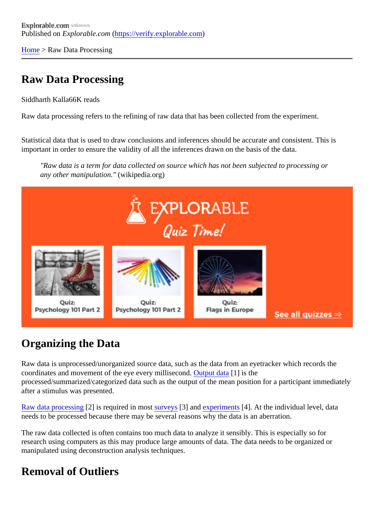[Home](https://verify.explorable.com/) > Raw Data Processing

## Raw Data Processing

Siddharth Kall<sup>66</sup>K reads

Raw data processing refers to the refining of raw data that has been collected from the experiment.

Statistical data that is used to draw conclusions and inferences should be accurate and consistent. This is important in order to ensure the validity of all the inferences drawn on the basis of the data.

"Raw data is a term for data collected on source which has not been subjected to processing or any other manipulation.('wikipedia.org)

## Organizing the Data

Raw data is unprocessed/unorganized source data, such as the data from an eyetracker which records the coordinates and movement of the eye every millisecondput data<sup>[1]</sup> is the processed/summarized/categorized data such as the output of the mean position for a participant immediation for after a stimulus was presented.

[Raw data processin](http://www.statcan.gc.ca/edu/power-pouvoir/ch3/editing-edition/5214781-eng.htm)g] is required in mosturveys[3] and [experiment](https://verify.explorable.com/experimental-research)s[4]. At the individual level, data needs to be processed because there may be several reasons why the data is an aberration.

The raw data collected is often contains too much data to analyze it sensibly. This is especially so for research using computers as this may produce large amounts of data. The data needs to be organized or manipulated using deconstruction analysis techniques.

## Removal of Outliers